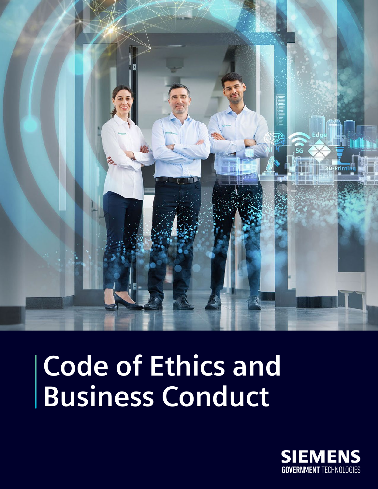

# **Code of Ethics and Business Conduct**

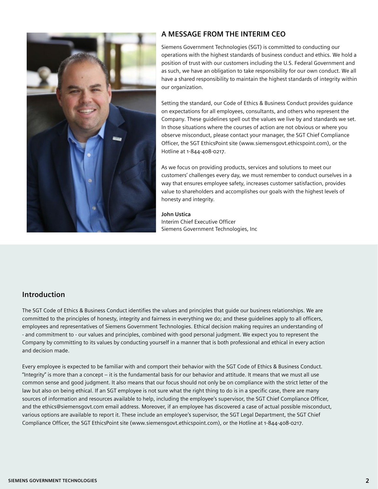

## **A MESSAGE FROM THE INTERIM CEO**

Siemens Government Technologies (SGT) is committed to conducting our operations with the highest standards of business conduct and ethics. We hold a position of trust with our customers including the U.S. Federal Government and as such, we have an obligation to take responsibility for our own conduct. We all have a shared responsibility to maintain the highest standards of integrity within our organization.

Setting the standard, our Code of Ethics & Business Conduct provides guidance on expectations for all employees, consultants, and others who represent the Company. These guidelines spell out the values we live by and standards we set. In those situations where the courses of action are not obvious or where you observe misconduct, please contact your manager, the SGT Chief Compliance Officer, the SGT EthicsPoint site (www.siemensgovt.ethicspoint.com), or the Hotline at 1-844-408-0217.

As we focus on providing products, services and solutions to meet our customers' challenges every day, we must remember to conduct ourselves in a way that ensures employee safety, increases customer satisfaction, provides value to shareholders and accomplishes our goals with the highest levels of honesty and integrity.

#### **John Ustica** Interim Chief Executive Officer Siemens Government Technologies, Inc

## **Introduction**

The SGT Code of Ethics & Business Conduct identifies the values and principles that guide our business relationships. We are committed to the principles of honesty, integrity and fairness in everything we do; and these guidelines apply to all officers, employees and representatives of Siemens Government Technologies. Ethical decision making requires an understanding of - and commitment to - our values and principles, combined with good personal judgment. We expect you to represent the Company by committing to its values by conducting yourself in a manner that is both professional and ethical in every action and decision made.

Every employee is expected to be familiar with and comport their behavior with the SGT Code of Ethics & Business Conduct. "Integrity" is more than a concept – it is the fundamental basis for our behavior and attitude. It means that we must all use common sense and good judgment. It also means that our focus should not only be on compliance with the strict letter of the law but also on being ethical. If an SGT employee is not sure what the right thing to do is in a specific case, there are many sources of information and resources available to help, including the employee's supervisor, the SGT Chief Compliance Officer, and the ethics@siemensgovt.com email address. Moreover, if an employee has discovered a case of actual possible misconduct, various options are available to report it. These include an employee's supervisor, the SGT Legal Department, the SGT Chief Compliance Officer, the SGT EthicsPoint site (www.siemensgovt.ethicspoint.com), or the Hotline at 1-844-408-0217.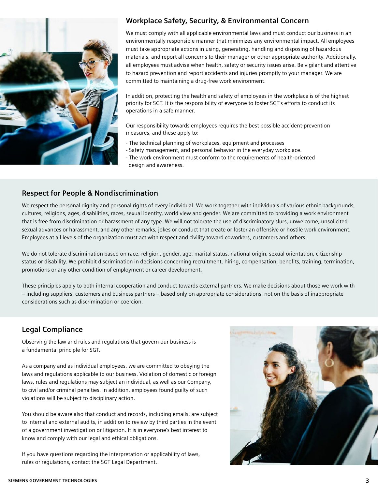

# **Workplace Safety, Security, & Environmental Concern**

We must comply with all applicable environmental laws and must conduct our business in an environmentally responsible manner that minimizes any environmental impact. All employees must take appropriate actions in using, generating, handling and disposing of hazardous materials, and report all concerns to their manager or other appropriate authority. Additionally, all employees must advise when health, safety or security issues arise. Be vigilant and attentive to hazard prevention and report accidents and injuries promptly to your manager. We are committed to maintaining a drug-free work environment.

In addition, protecting the health and safety of employees in the workplace is of the highest priority for SGT. It is the responsibility of everyone to foster SGT's efforts to conduct its operations in a safe manner.

Our responsibility towards employees requires the best possible accident-prevention measures, and these apply to:

- The technical planning of workplaces, equipment and processes
- Safety management, and personal behavior in the everyday workplace.
- The work environment must conform to the requirements of health-oriented design and awareness.

### **Respect for People & Nondiscrimination**

We respect the personal dignity and personal rights of every individual. We work together with individuals of various ethnic backgrounds, cultures, religions, ages, disabilities, races, sexual identity, world view and gender. We are committed to providing a work environment that is free from discrimination or harassment of any type. We will not tolerate the use of discriminatory slurs, unwelcome, unsolicited sexual advances or harassment, and any other remarks, jokes or conduct that create or foster an offensive or hostile work environment. Employees at all levels of the organization must act with respect and civility toward coworkers, customers and others.

We do not tolerate discrimination based on race, religion, gender, age, marital status, national origin, sexual orientation, citizenship status or disability. We prohibit discrimination in decisions concerning recruitment, hiring, compensation, benefits, training, termination, promotions or any other condition of employment or career development.

These principles apply to both internal cooperation and conduct towards external partners. We make decisions about those we work with – including suppliers, customers and business partners – based only on appropriate considerations, not on the basis of inappropriate considerations such as discrimination or coercion.

### **Legal Compliance**

Observing the law and rules and regulations that govern our business is a fundamental principle for SGT.

As a company and as individual employees, we are committed to obeying the laws and regulations applicable to our business. Violation of domestic or foreign laws, rules and regulations may subject an individual, as well as our Company, to civil and/or criminal penalties. In addition, employees found guilty of such violations will be subject to disciplinary action.

You should be aware also that conduct and records, including emails, are subject to internal and external audits, in addition to review by third parties in the event of a government investigation or litigation. It is in everyone's best interest to know and comply with our legal and ethical obligations.

If you have questions regarding the interpretation or applicability of laws, rules or regulations, contact the SGT Legal Department.

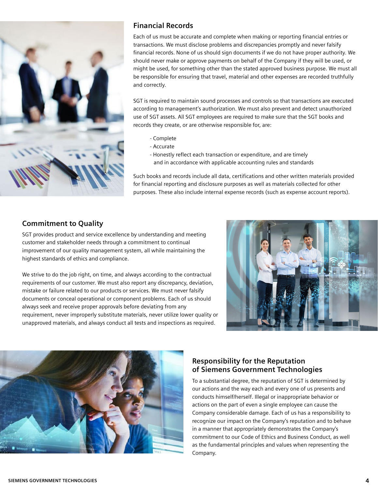

#### **Financial Records**

Each of us must be accurate and complete when making or reporting financial entries or transactions. We must disclose problems and discrepancies promptly and never falsify financial records. None of us should sign documents if we do not have proper authority. We should never make or approve payments on behalf of the Company if they will be used, or might be used, for something other than the stated approved business purpose. We must all be responsible for ensuring that travel, material and other expenses are recorded truthfully and correctly.

SGT is required to maintain sound processes and controls so that transactions are executed according to management's authorization. We must also prevent and detect unauthorized use of SGT assets. All SGT employees are required to make sure that the SGT books and records they create, or are otherwise responsible for, are:

- Complete
- Accurate
- Honestly reflect each transaction or expenditure, and are timely and in accordance with applicable accounting rules and standards

Such books and records include all data, certifications and other written materials provided for financial reporting and disclosure purposes as well as materials collected for other purposes. These also include internal expense records (such as expense account reports).

## **Commitment to Quality**

SGT provides product and service excellence by understanding and meeting customer and stakeholder needs through a commitment to continual improvement of our quality management system, all while maintaining the highest standards of ethics and compliance.

We strive to do the job right, on time, and always according to the contractual requirements of our customer. We must also report any discrepancy, deviation, mistake or failure related to our products or services. We must never falsify documents or conceal operational or component problems. Each of us should always seek and receive proper approvals before deviating from any requirement, never improperly substitute materials, never utilize lower quality or unapproved materials, and always conduct all tests and inspections as required.





## **Responsibility for the Reputation of Siemens Government Technologies**

To a substantial degree, the reputation of SGT is determined by our actions and the way each and every one of us presents and conducts himself/herself. Illegal or inappropriate behavior or actions on the part of even a single employee can cause the Company considerable damage. Each of us has a responsibility to recognize our impact on the Company's reputation and to behave in a manner that appropriately demonstrates the Company's commitment to our Code of Ethics and Business Conduct, as well as the fundamental principles and values when representing the Company.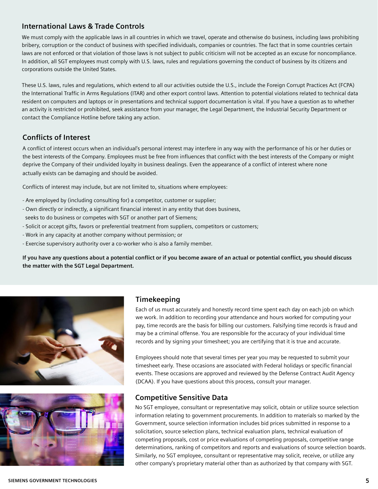### **International Laws & Trade Controls**

We must comply with the applicable laws in all countries in which we travel, operate and otherwise do business, including laws prohibiting bribery, corruption or the conduct of business with specified individuals, companies or countries. The fact that in some countries certain laws are not enforced or that violation of those laws is not subject to public criticism will not be accepted as an excuse for noncompliance. In addition, all SGT employees must comply with U.S. laws, rules and regulations governing the conduct of business by its citizens and corporations outside the United States.

These U.S. laws, rules and regulations, which extend to all our activities outside the U.S., include the Foreign Corrupt Practices Act (FCPA) the International Traffic in Arms Regulations (ITAR) and other export control laws. Attention to potential violations related to technical data resident on computers and laptops or in presentations and technical support documentation is vital. If you have a question as to whether an activity is restricted or prohibited, seek assistance from your manager, the Legal Department, the Industrial Security Department or contact the Compliance Hotline before taking any action.

### **Conflicts of Interest**

A conflict of interest occurs when an individual's personal interest may interfere in any way with the performance of his or her duties or the best interests of the Company. Employees must be free from influences that conflict with the best interests of the Company or might deprive the Company of their undivided loyalty in business dealings. Even the appearance of a conflict of interest where none actually exists can be damaging and should be avoided.

Conflicts of interest may include, but are not limited to, situations where employees:

- Are employed by (including consulting for) a competitor, customer or supplier;
- Own directly or indirectly, a significant financial interest in any entity that does business, seeks to do business or competes with SGT or another part of Siemens;
- Solicit or accept gifts, favors or preferential treatment from suppliers, competitors or customers;
- Work in any capacity at another company without permission; or
- Exercise supervisory authority over a co-worker who is also a family member.

**If you have any questions about a potential conflict or if you become aware of an actual or potential conflict, you should discuss the matter with the SGT Legal Department.**





#### **Timekeeping**

Each of us must accurately and honestly record time spent each day on each job on which we work. In addition to recording your attendance and hours worked for computing your pay, time records are the basis for billing our customers. Falsifying time records is fraud and may be a criminal offense. You are responsible for the accuracy of your individual time records and by signing your timesheet; you are certifying that it is true and accurate.

Employees should note that several times per year you may be requested to submit your timesheet early. These occasions are associated with Federal holidays or specific financial events. These occasions are approved and reviewed by the Defense Contract Audit Agency (DCAA). If you have questions about this process, consult your manager.

### **Competitive Sensitive Data**

No SGT employee, consultant or representative may solicit, obtain or utilize source selection information relating to government procurements. In addition to materials so marked by the Government, source selection information includes bid prices submitted in response to a solicitation, source selection plans, technical evaluation plans, technical evaluation of competing proposals, cost or price evaluations of competing proposals, competitive range determinations, ranking of competitors and reports and evaluations of source selection boards. Similarly, no SGT employee, consultant or representative may solicit, receive, or utilize any other company's proprietary material other than as authorized by that company with SGT.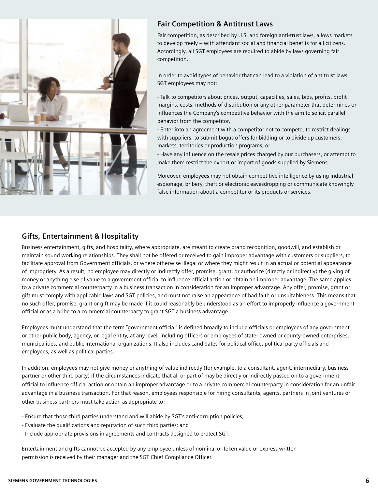

#### **Fair Competition & Antitrust Laws**

Fair competition, as described by U.S. and foreign anti-trust laws, allows markets to develop freely – with attendant social and financial benefits for all citizens. Accordingly, all SGT employees are required to abide by laws governing fair competition.

In order to avoid types of behavior that can lead to a violation of antitrust laws, SGT employees may not:

- Talk to competitors about prices, output, capacities, sales, bids, profits, profit margins, costs, methods of distribution or any other parameter that determines or influences the Company's competitive behavior with the aim to solicit parallel behavior from the competitor,

- Enter into an agreement with a competitor not to compete, to restrict dealings with suppliers, to submit bogus offers for bidding or to divide up customers, markets, territories or production programs, or

- Have any influence on the resale prices charged by our purchasers, or attempt to make them restrict the export or import of goods supplied by Siemens.

Moreover, employees may not obtain competitive intelligence by using industrial espionage, bribery, theft or electronic eavesdropping or communicate knowingly false information about a competitor or its products or services.

#### **Gifts, Entertainment & Hospitality**

Business entertainment, gifts, and hospitality, where appropriate, are meant to create brand recognition, goodwill, and establish or maintain sound working relationships. They shall not be offered or received to gain improper advantage with customers or suppliers, to facilitate approval from Government officials, or where otherwise illegal or where they might result in an actual or potential appearance of impropriety. As a result, no employee may directly or indirectly offer, promise, grant, or authorize (directly or indirectly) the giving of money or anything else of value to a government official to influence official action or obtain an improper advantage. The same applies to a private commercial counterparty in a business transaction in consideration for an improper advantage. Any offer, promise, grant or gift must comply with applicable laws and SGT policies, and must not raise an appearance of bad faith or unsuitableness. This means that no such offer, promise, grant or gift may be made if it could reasonably be understood as an effort to improperly influence a government official or as a bribe to a commercial counterparty to grant SGT a business advantage.

Employees must understand that the term "government official" is defined broadly to include officials or employees of any government or other public body, agency, or legal entity, at any level, including officers or employees of state- owned or county-owned enterprises, municipalities, and public international organizations. It also includes candidates for political office, political party officials and employees, as well as political parties.

In addition, employees may not give money or anything of value indirectly (for example, to a consultant, agent, intermediary, business partner or other third party) if the circumstances indicate that all or part of may be directly or indirectly passed on to a government official to influence official action or obtain an improper advantage or to a private commercial counterparty in consideration for an unfair advantage in a business transaction. For that reason, employees responsible for hiring consultants, agents, partners in joint ventures or other business partners must take action as appropriate to:

- Ensure that those third parties understand and will abide by SGT's anti-corruption policies;
- Evaluate the qualifications and reputation of such third parties; and
- Include appropriate provisions in agreements and contracts designed to protect SGT.

Entertainment and gifts cannot be accepted by any employee unless of nominal or token value or express written permission is received by their manager and the SGT Chief Compliance Officer.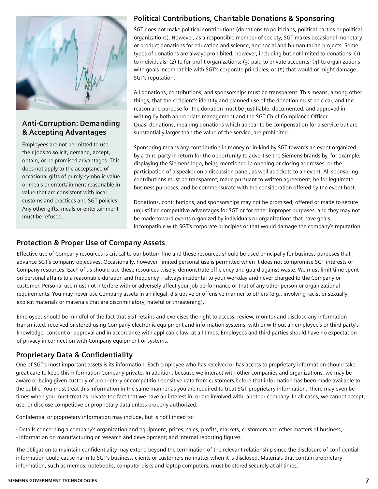

## **Anti-Corruption: Demanding & Accepting Advantages**

Employees are not permitted to use their jobs to solicit, demand, accept, obtain, or be promised advantages. This does not apply to the acceptance of occasional gifts of purely symbolic value or meals or entertainment reasonable in value that are consistent with local customs and practices and SGT policies. Any other gifts, meals or entertainment must be refused.

## **Political Contributions, Charitable Donations & Sponsoring**

SGT does not make political contributions (donations to politicians, political parties or political organizations). However, as a responsible member of society, SGT makes occasional monetary or product donations for education and science, and social and humanitarian projects. Some types of donations are always prohibited, however, including but not limited to donations: (1) to individuals; (2) to for-profit organizations; (3) paid to private accounts; (4) to organizations with goals incompatible with SGT's corporate principles; or (5) that would or might damage SGT's reputation.

All donations, contributions, and sponsorships must be transparent. This means, among other things, that the recipient's identity and planned use of the donation must be clear, and the reason and purpose for the donation must be justifiable, documented, and approved in writing by both appropriate management and the SGT Chief Compliance Officer. Quasi-donations, meaning donations which appear to be compensation for a service but are substantially larger than the value of the service, are prohibited.

Sponsoring means any contribution in money or in-kind by SGT towards an event organized by a third party in return for the opportunity to advertise the Siemens brands by, for example, displaying the Siemens logo, being mentioned in opening or closing addresses, or the participation of a speaker on a discussion panel, as well as tickets to an event. All sponsoring contributions must be transparent, made pursuant to written agreement, be for legitimate business purposes, and be commensurate with the consideration offered by the event host.

Donations, contributions, and sponsorships may not be promised, offered or made to secure unjustified competitive advantages for SGT or for other improper purposes, and they may not be made toward events organized by individuals or organizations that have goals incompatible with SGT's corporate principles or that would damage the company's reputation.

## **Protection & Proper Use of Company Assets**

Effective use of Company resources is critical to our bottom line and these resources should be used principally for business purposes that advance SGT's company objectives. Occasionally, however, limited personal use is permitted when it does not compromise SGT interests or Company resources. Each of us should use these resources wisely, demonstrate efficiency and guard against waste. We must limit time spent on personal affairs to a reasonable duration and frequency – always incidental to your workday and never charged to the Company or customer. Personal use must not interfere with or adversely affect your job performance or that of any other person or organizational requirements. You may never use Company assets in an illegal, disruptive or offensive manner to others (e.g., involving racist or sexually explicit materials or materials that are discriminatory, hateful or threatening).

Employees should be mindful of the fact that SGT retains and exercises the right to access, review, monitor and disclose any information transmitted, received or stored using Company electronic equipment and information systems, with or without an employee's or third party's knowledge, consent or approval and in accordance with applicable law, at all times. Employees and third parties should have no expectation of privacy in connection with Company equipment or systems.

## **Proprietary Data & Confidentiality**

One of SGT's most important assets is its information. Each employee who has received or has access to proprietary information should take great care to keep this information Company private. In addition, because we interact with other companies and organizations, we may be aware or being given custody of proprietary or competition-sensitive data from customers before that information has been made available to the public. You must treat this information in the same manner as you are required to treat SGT proprietary information. There may even be times when you must treat as private the fact that we have an interest in, or are involved with, another company. In all cases, we cannot accept, use, or disclose competitive or proprietary data unless properly authorized.

Confidential or proprietary information may include, but is not limited to:

- Details concerning a company's organization and equipment, prices, sales, profits, markets, customers and other matters of business; - Information on manufacturing or research and development; and internal reporting figures.

The obligation to maintain confidentiality may extend beyond the termination of the relevant relationship since the disclosure of confidential information could cause harm to SGT's business, clients or customers no matter when it is disclosed. Materials that contain proprietary information, such as memos, notebooks, computer disks and laptop computers, must be stored securely at all times.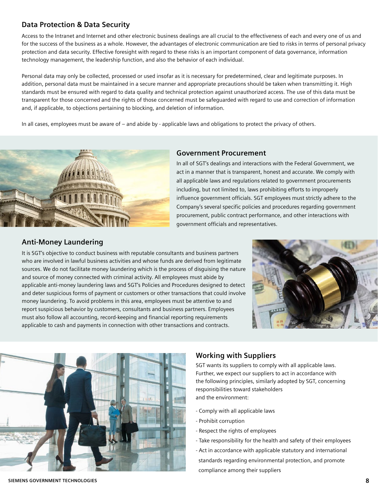## **Data Protection & Data Security**

Access to the Intranet and Internet and other electronic business dealings are all crucial to the effectiveness of each and every one of us and for the success of the business as a whole. However, the advantages of electronic communication are tied to risks in terms of personal privacy protection and data security. Effective foresight with regard to these risks is an important component of data governance, information technology management, the leadership function, and also the behavior of each individual.

Personal data may only be collected, processed or used insofar as it is necessary for predetermined, clear and legitimate purposes. In addition, personal data must be maintained in a secure manner and appropriate precautions should be taken when transmitting it. High standards must be ensured with regard to data quality and technical protection against unauthorized access. The use of this data must be transparent for those concerned and the rights of those concerned must be safeguarded with regard to use and correction of information and, if applicable, to objections pertaining to blocking, and deletion of information.

In all cases, employees must be aware of – and abide by - applicable laws and obligations to protect the privacy of others.



#### **Government Procurement**

In all of SGT's dealings and interactions with the Federal Government, we act in a manner that is transparent, honest and accurate. We comply with all applicable laws and regulations related to government procurements including, but not limited to, laws prohibiting efforts to improperly influence government officials. SGT employees must strictly adhere to the Company's several specific policies and procedures regarding government procurement, public contract performance, and other interactions with government officials and representatives.

## **Anti-Money Laundering**

It is SGT's objective to conduct business with reputable consultants and business partners who are involved in lawful business activities and whose funds are derived from legitimate sources. We do not facilitate money laundering which is the process of disguising the nature and source of money connected with criminal activity. All employees must abide by applicable anti-money laundering laws and SGT's Policies and Procedures designed to detect and deter suspicious forms of payment or customers or other transactions that could involve money laundering. To avoid problems in this area, employees must be attentive to and report suspicious behavior by customers, consultants and business partners. Employees must also follow all accounting, record-keeping and financial reporting requirements applicable to cash and payments in connection with other transactions and contracts.





## **Working with Suppliers**

SGT wants its suppliers to comply with all applicable laws. Further, we expect our suppliers to act in accordance with the following principles, similarly adopted by SGT, concerning responsibilities toward stakeholders and the environment:

- Comply with all applicable laws
- Prohibit corruption
- Respect the rights of employees
- Take responsibility for the health and safety of their employees
- Act in accordance with applicable statutory and international standards regarding environmental protection, and promote compliance among their suppliers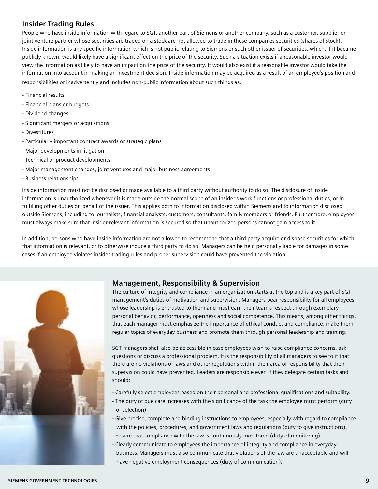#### **Insider Trading Rules**

People who have inside information with regard to SGT, another part of Siemens or another company, such as a customer, supplier or joint venture partner whose securities are traded on a stock are not allowed to trade in these companies securities (shares of stock). Inside information is any specific information which is not public relating to Siemens or such other issuer of securities, which, if it became publicly known, would likely have a significant effect on the price of the security. Such a situation exists if a reasonable investor would view the information as likely to have an impact on the price of the security. It would also exist if a reasonable investor would take the information into account in making an investment decision. Inside information may be acquired as a result of an employee's position and responsibilities or inadvertently and includes non-public information about such things as:

- Financial results
- Financial plans or budgets
- Dividend changes
- Significant mergers or acquisitions
- Divestitures
- Particularly important contract awards or strategic plans
- Major developments in litigation
- Technical or product developments
- Major management changes, joint ventures and major business agreements
- Business relationships

Inside information must not be disclosed or made available to a third party without authority to do so. The disclosure of inside information is unauthorized whenever it is made outside the normal scope of an insider's work functions or professional duties, or in fulfilling other duties on behalf of the issuer. This applies both to information disclosed within Siemens and to information disclosed outside Siemens, including to journalists, financial analysts, customers, consultants, family members or friends. Furthermore, employees must always make sure that insider-relevant information is secured so that unauthorized persons cannot gain access to it.

In addition, persons who have inside information are not allowed to recommend that a third party acquire or dispose securities for which that information is relevant, or to otherwise induce a third party to do so. Managers can be held personally liable for damages in some cases if an employee violates insider trading rules and proper supervision could have prevented the violation.



#### **Management, Responsibility & Supervision**

The culture of integrity and compliance in an organization starts at the top and is a key part of SGT management's duties of motivation and supervision. Managers bear responsibility for all employees whose leadership is entrusted to them and must earn their team's respect through exemplary personal behavior, performance, openness and social competence. This means, among other things, that each manager must emphasize the importance of ethical conduct and compliance, make them regular topics of everyday business and promote them through personal leadership and training.

SGT managers shall also be ac cessible in case employees wish to raise compliance concerns, ask questions or discuss a professional problem. It is the responsibility of all managers to see to it that there are no violations of laws and other regulations within their area of responsibility that their supervision could have prevented. Leaders are responsible even if they delegate certain tasks and should:

- Carefully select employees based on their personal and professional qualifications and suitability.
- The duty of due care increases with the significance of the task the employee must perform (duty of selection).
- Give precise, complete and binding instructions to employees, especially with regard to compliance with the policies, procedures, and government laws and regulations (duty to give instructions).
- Ensure that compliance with the law is continuously monitored (duty of monitoring).
- Clearly communicate to employees the importance of integrity and compliance in everyday business. Managers must also communicate that violations of the law are unacceptable and will have negative employment consequences (duty of communication).